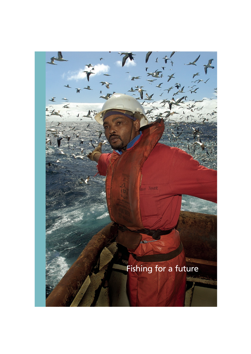Fishing for a future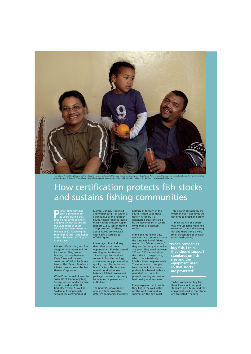

Harriet and Primo Humphreys with their daughter Lauren at home in Mamre, a fishing community near Cape Town. Primo is a quality assurance controller aboard the *Harvest Lindiwe,*<br>a hake trawler. The South African Cape Hake

## How certification protects fish stocks and sustains fishing communities

**P**rimo Humphreys has<br>
22 years. During that<br>
time he has come to know been a fisherman for time he has come to know and love the rich waters off the Cape coast of South Africa. Primo went to sea at the age of 17, following his fisherman father – and hopes to beat his record of 27 years in the trade.

Primo's wife, Harriet, and four daughters are dependent on his income. They live in Mamre, half way between Cape Town and the west coast port of Saldanha, home base of the *Harvest Lindiwe* – a hake trawler owned by Sea Harvest Corporation.

While Primo wouldn't want to swap life at sea for anything, he says jobs on land are scarce and it would be difficult to find other work. As well as Saldanha, fishing largely sustains the communities of

Mamre, Darling, Hopefield and Vredenburg – all within a 60km radius of the harbour. South African fisheries (based mainly in the Western Cape) support 27,850 jobs in fishing and processing. Of these, about 10,000 are involved with hake, according to official figures.

Primo says it is an industry that offers good career opportunities. Since he started working for Sea Harvest 18 years ago, he has done courses in food technology and was recently promoted to quality controller in the onboard factory. This is where several hundred tonnes of hake are filleted, frozen and packaged on every trip, ready for sale to companies, such as Unilever.

The *Harvest Lindiwe* is one of many ships owned by different companies that have

permission to trawl in the South African Cape Hake fishery. A fishery is a designated area controlled by the government in which companies are licensed to fish.

Primo and his fellow crew members are concerned about the sustainability of fishing stocks. "No fish, no income," they say. Currently the catches are good. They trawl between 300 and 700 metres below the surface to target hake, which characteristically inhabits these deep sea levels. The normal catch rate per trawl is about nine tonnes, preferably achieved within a period of two hours to prevent bruising and ensure best quality and freshness.

Primo explains that in winter they fish in the cold waters off the west coast and in summer off the east coast.

This is partly dictated by the weather, but it also gives the fish time to breed and grow.

"I think we fish in a good way. We use large-mesh nets so we don't catch the young fish and there's only a very small percentage of by-catch (unwanted species).

**"When companies buy fish, I think they should support standards on fish size and the equipment used so that stocks are protected"** 

"When companies buy fish, I think they should support standards on fish size and the equipment used so that stocks are protected," he says.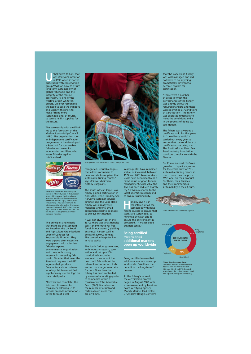**U**nbeknown to him, that<br>
was Unilever's intention<br>
in 1996 when it started<br>
discussions with conservation was Unilever's intention discussions with conservation group WWF on how to assure long-term sustainability of global fish stocks and the integrity of the marine ecosystem. As one of the world's largest whitefish buyers, Unilever recognised the need to take the initiative and work with others to make fishing more sustainable and, of course, to secure its fish supplies for the future.

The partnership with the WWF led to the formation of the Marine Stewardship Council (MSC). The organisation runs an independent certification programme. It has developed a Standard for sustainable fisheries and accredits independent certifiers, who assess fisheries against this Standard.



Unilever is one of the world's largest buyers of whitefish, used in its European frozen fish business. Fish is a valuable source of nutrition and the company's frozen fish brands – *Iglo*, *Birds Eye* and *Findus* (Italy) – help Unilever fulfil its mission to add vitality to life. The Marine Stewardship Council (MSC) label (bottom right) on fish products confirms that the fish have been caught in sustainably managed fisheries.

The principles and criteria that make up the Standard are based on the UN Food and Agriculture Organisation's Code of Conduct for Responsible Fisheries. They were agreed after extensive engagement with scientists, fisheries experts, environmental organisations and those with strong interests in preserving fish stocks. Fisheries that meet the Standard may use the MSC logo on their products. Companies such as Unilever who buy fish from certified suppliers may use the logo on their retail packs.

"Certification completes the link from fishermen to consumers, allowing us to include on-pack information – in the form of a well-



A large mesh size allows small fish to escape the trawl.

recognised, reputable logo – that allows consumers to demonstrate to suppliers that sustainable fishing counts," says Unilever chairman Antony Burgmans.

The South African Cape Hake fishery gained certification in April 2004. Denis Handley, Sea Harvest's customer services director, says the Cape Hake fishery was already well managed and only small adjustments had to be made to achieve certification.

It was not always so. In the 1970s, there was what Handley calls "an international freefor-all in our waters", yielding an annual harvest well in excess of 300,000 tonnes. This caused a sharp decline in hake stocks.

The South African government, with industry support, took action and set up a 200 nautical mile exclusive economic zone in which no one could fish without the relevant authorisation. It also insisted on a larger mesh size for nets. Since then the fishery has been controlled by means of allocating quotas to companies within a conservative Total Allowable Catch (TAC), limitations on the number of vessels and certain closed areas that are off limits.

Yearly quotas have remained stable, or increased, between 1977 and 2001 because stock levels have been healthy as a direct result of good fisheries management. Since 2002 the TAC has been reduced slightly (by 1.7%) in response to the latest scientific research and to ensure sustainability.

andley says it is in the interest of all the companies with hake fishing quotas to ensure that stocks are sustainable, to minimise by-catch and to ensure the environment is protected. "It makes good business sense."

## **Being certified means that additional markets open up worldwide**

Being certified means that additional markets open up worldwide. "We'll see the benefit in the long-term," he says.

At the fishery's request, the certification process began in August 2002 with a pre-assessment by Londonbased certifying agency Moody Marine. Its director, Dr Andrew Hough, confirms

that the Cape Hake fishery was well managed and did not have to do anything dramatically different to become eligible for certification.

"There were a number of areas in which the performance of the fishery was slightly below the required standard and these were identified as 'Conditions of Certification'. The fishery was allocated timescales to meet the conditions and is in the process of doing so," says Hough.

The fishery was awarded a certificate valid for five years. A "surveillance audit" is carried out every year to ensure that the conditions of certification are being met. The South African Deep Sea Trawl Industry Association monitors compliance with the Standard.

For Primo, *Harvest Lindiwe's*  guardian of quality – just as for the entire crew of 75 – sustainable fishing means so much more than the prized MSC label on their product. For them, their families and their communities, sustainability is their future.



South African hake *Merluccis capensis* 



**Global fisheries under threat**  Fish stocks worldwide are in serious decline: 48% are fully exploited, 16% overfished, and 9% depleted, according to the United Nations Food and Agriculture Organisation (FAO).